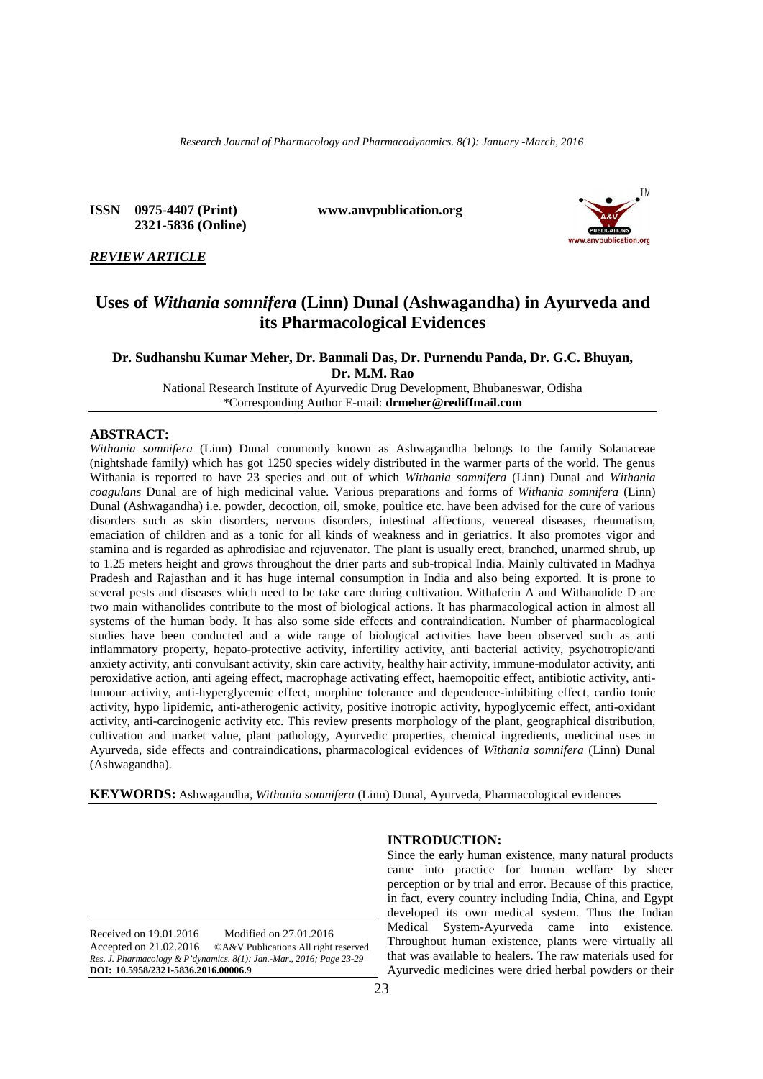*Research Journal of Pharmacology and Pharmacodynamics. 8(1): January -March, 2016*

**ISSN 0975-4407 (Print) www.anvpublication.org 2321-5836 (Online)**



# *REVIEW ARTICLE*

# **Uses of** *Withania somnifera* **(Linn) Dunal (Ashwagandha) in Ayurveda and its Pharmacological Evidences**

**Dr. Sudhanshu Kumar Meher, Dr. Banmali Das, Dr. Purnendu Panda, Dr. G.C. Bhuyan, Dr. M.M. Rao**

National Research Institute of Ayurvedic Drug Development, Bhubaneswar, Odisha \*Corresponding Author E-mail: **drmeher@rediffmail.com**

# **ABSTRACT:**

*Withania somnifera* (Linn) Dunal commonly known as Ashwagandha belongs to the family Solanaceae (nightshade family) which has got 1250 species widely distributed in the warmer parts of the world. The genus Withania is reported to have 23 species and out of which *Withania somnifera* (Linn) Dunal and *Withania coagulans* Dunal are of high medicinal value. Various preparations and forms of *Withania somnifera* (Linn) Dunal (Ashwagandha) i.e. powder, decoction, oil, smoke, poultice etc. have been advised for the cure of various disorders such as skin disorders, nervous disorders, intestinal affections, venereal diseases, rheumatism, emaciation of children and as a tonic for all kinds of weakness and in geriatrics. It also promotes vigor and stamina and is regarded as aphrodisiac and rejuvenator. The plant is usually erect, branched, unarmed shrub, up to 1.25 meters height and grows throughout the drier parts and sub-tropical India. Mainly cultivated in Madhya Pradesh and Rajasthan and it has huge internal consumption in India and also being exported. It is prone to several pests and diseases which need to be take care during cultivation. Withaferin A and Withanolide D are two main withanolides contribute to the most of biological actions. It has pharmacological action in almost all systems of the human body. It has also some side effects and contraindication. Number of pharmacological studies have been conducted and a wide range of biological activities have been observed such as anti inflammatory property, hepato-protective activity, infertility activity, anti bacterial activity, psychotropic/anti anxiety activity, anti convulsant activity, skin care activity, healthy hair activity, immune-modulator activity, anti peroxidative action, anti ageing effect, macrophage activating effect, haemopoitic effect, antibiotic activity, antitumour activity, anti-hyperglycemic effect, morphine tolerance and dependence-inhibiting effect, cardio tonic activity, hypo lipidemic, anti-atherogenic activity, positive inotropic activity, hypoglycemic effect, anti-oxidant activity, anti-carcinogenic activity etc. This review presents morphology of the plant, geographical distribution, cultivation and market value, plant pathology, Ayurvedic properties, chemical ingredients, medicinal uses in Ayurveda, side effects and contraindications, pharmacological evidences of *Withania somnifera* (Linn) Dunal (Ashwagandha).

**KEYWORDS:** Ashwagandha, *Withania somnifera* (Linn) Dunal, Ayurveda, Pharmacological evidences

**INTRODUCTION:**

Received on 19.01.2016 Modified on 27.01.2016 Accepted on 21.02.2016 ©A&V Publications All right reserved *Res. J. Pharmacology & P'dynamics. 8(1): Jan.-Mar., 2016; Page 23-29* **DOI: 10.5958/2321-5836.2016.00006.9**

Since the early human existence, many natural products came into practice for human welfare by sheer perception or by trial and error. Because of this practice, in fact, every country including India, China, and Egypt developed its own medical system. Thus the Indian Medical System-Ayurveda came into existence. Throughout human existence, plants were virtually all that was available to healers. The raw materials used for Ayurvedic medicines were dried herbal powders or their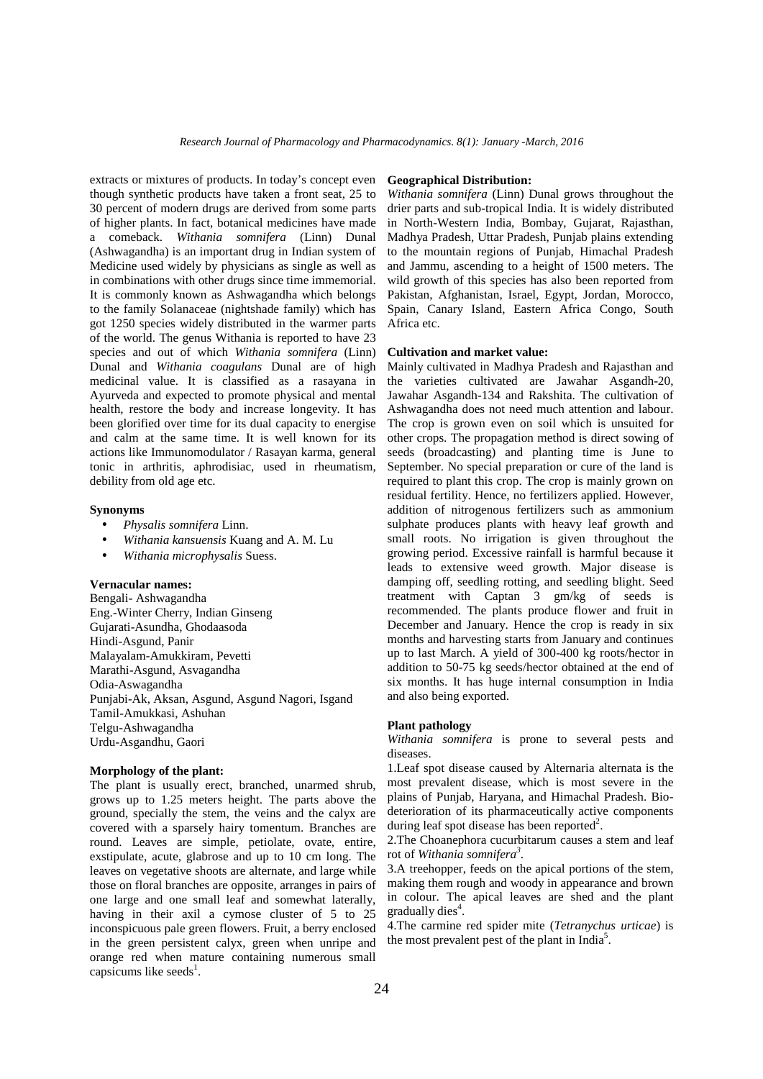extracts or mixtures of products. In today's concept even though synthetic products have taken a front seat, 25 to 30 percent of modern drugs are derived from some parts of higher plants. In fact, botanical medicines have made a comeback. *Withania somnifera* (Linn) Dunal (Ashwagandha) is an important drug in Indian system of Medicine used widely by physicians as single as well as in combinations with other drugs since time immemorial. It is commonly known as Ashwagandha which belongs to the family Solanaceae (nightshade family) which has got 1250 species widely distributed in the warmer parts of the world. The genus Withania is reported to have 23 species and out of which *Withania somnifera* (Linn) Dunal and *Withania coagulans* Dunal are of high medicinal value. It is classified as a rasayana in Ayurveda and expected to promote physical and mental health, restore the body and increase longevity. It has been glorified over time for its dual capacity to energise and calm at the same time. It is well known for its actions like Immunomodulator / Rasayan karma, general tonic in arthritis, aphrodisiac, used in rheumatism, debility from old age etc.

# **Synonyms**

- *Physalis somnifera* Linn.
- *Withania kansuensis* Kuang and A. M. Lu
- *Withania microphysalis* Suess.

# **Vernacular names:**

Bengali- Ashwagandha Eng.-Winter Cherry, Indian Ginseng Gujarati-Asundha, Ghodaasoda Hindi-Asgund, Panir Malayalam-Amukkiram, Pevetti Marathi-Asgund, Asvagandha Odia-Aswagandha Punjabi-Ak, Aksan, Asgund, Asgund Nagori, Isgand Tamil-Amukkasi, Ashuhan Telgu-Ashwagandha Urdu-Asgandhu, Gaori

# **Morphology of the plant:**

The plant is usually erect, branched, unarmed shrub, grows up to 1.25 meters height. The parts above the ground, specially the stem, the veins and the calyx are covered with a sparsely hairy tomentum. Branches are round. Leaves are simple, petiolate, ovate, entire, exstipulate, acute, glabrose and up to 10 cm long. The leaves on vegetative shoots are alternate, and large while those on floral branches are opposite, arranges in pairs of one large and one small leaf and somewhat laterally, having in their axil a cymose cluster of 5 to 25 inconspicuous pale green flowers. Fruit, a berry enclosed in the green persistent calyx, green when unripe and orange red when mature containing numerous small capsicums like seeds<sup>1</sup>.

#### **Geographical Distribution:**

*Withania somnifera* (Linn) Dunal grows throughout the drier parts and sub-tropical India. It is widely distributed in North-Western India, Bombay, Gujarat, Rajasthan, Madhya Pradesh, Uttar Pradesh, Punjab plains extending to the mountain regions of Punjab, Himachal Pradesh and Jammu, ascending to a height of 1500 meters. The wild growth of this species has also been reported from Pakistan, Afghanistan, Israel, Egypt, Jordan, Morocco, Spain, Canary Island, Eastern Africa Congo, South Africa etc.

# **Cultivation and market value:**

Mainly cultivated in Madhya Pradesh and Rajasthan and the varieties cultivated are Jawahar Asgandh-20, Jawahar Asgandh-134 and Rakshita. The cultivation of Ashwagandha does not need much attention and labour. The crop is grown even on soil which is unsuited for other crops. The propagation method is direct sowing of seeds (broadcasting) and planting time is June to September. No special preparation or cure of the land is required to plant this crop. The crop is mainly grown on residual fertility. Hence, no fertilizers applied. However, addition of nitrogenous fertilizers such as ammonium sulphate produces plants with heavy leaf growth and small roots. No irrigation is given throughout the growing period. Excessive rainfall is harmful because it leads to extensive weed growth. Major disease is damping off, seedling rotting, and seedling blight. Seed treatment with Captan 3 gm/kg of seeds is recommended. The plants produce flower and fruit in December and January. Hence the crop is ready in six months and harvesting starts from January and continues up to last March. A yield of 300-400 kg roots/hector in addition to 50-75 kg seeds/hector obtained at the end of six months. It has huge internal consumption in India and also being exported.

#### **Plant pathology**

*Withania somnifera* is prone to several pests and diseases.

1.Leaf spot disease caused by Alternaria alternata is the most prevalent disease, which is most severe in the plains of Punjab, Haryana, and Himachal Pradesh. Bio deterioration of its pharmaceutically active components during leaf spot disease has been reported<sup>2</sup>.

2.The Choanephora cucurbitarum causes a stem and leaf rot of *Withania somnifera<sup>3</sup>* .

3.A treehopper, feeds on the apical portions of the stem, making them rough and woody in appearance and brown in colour. The apical leaves are shed and the plant  $gradually$  dies<sup>4</sup>.

4.The carmine red spider mite (*Tetranychus urticae*) is the most prevalent pest of the plant in India<sup>5</sup>.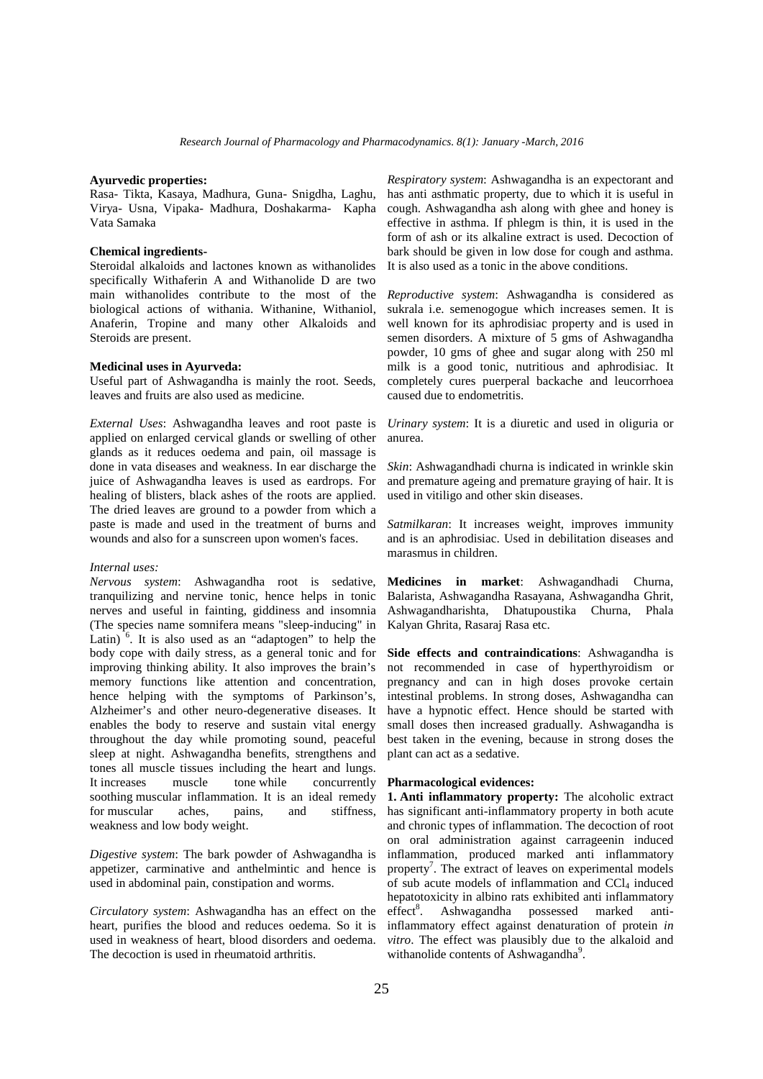# **Ayurvedic properties:**

Rasa- Tikta, Kasaya, Madhura, Guna- Snigdha, Laghu, Virya- Usna, Vipaka- Madhura, Doshakarma- Kapha Vata Samaka

# **Chemical ingredients-**

Steroidal alkaloids and lactones known as withanolides specifically Withaferin A and Withanolide D are two main withanolides contribute to the most of the biological actions of withania. Withanine, Withaniol, Anaferin, Tropine and many other Alkaloids and Steroids are present.

# **Medicinal uses in Ayurveda:**

Useful part of Ashwagandha is mainly the root. Seeds, leaves and fruits are also used as medicine.

*External Uses*: Ashwagandha leaves and root paste is applied on enlarged cervical glands or swelling of other glands as it reduces oedema and pain, oil massage is done in vata diseases and weakness. In ear discharge the juice of Ashwagandha leaves is used as eardrops. For healing of blisters, black ashes of the roots are applied. The dried leaves are ground to a powder from which a paste is made and used in the treatment of burns and wounds and also for a sunscreen upon women's faces.

### *Internal uses:*

*Nervous system*: Ashwagandha root is sedative, tranquilizing and nervine tonic, hence helps in tonic nerves and useful in fainting, giddiness and insomnia (The species name somnifera means "sleep-inducing" in Latin)  $\delta$ . It is also used as an "adaptogen" to help the body cope with daily stress, as a general tonic and for improving thinking ability. It also improves the brain's memory functions like attention and concentration, hence helping with the symptoms of Parkinson's, Alzheimer's and other neuro-degenerative diseases. It enables the body to reserve and sustain vital energy throughout the day while promoting sound, peaceful sleep at night. Ashwagandha benefits, strengthens and tones all muscle tissues including the heart and lungs. It increases muscle tone while concurrently soothing muscular inflammation. It is an ideal remedy<br>for muscular aches, pains, and stiffness. for muscular aches, pains, and stiffness, weakness and low body weight.

*Digestive system*: The bark powder of Ashwagandha is appetizer, carminative and anthelmintic and hence is used in abdominal pain, constipation and worms.

*Circulatory system*: Ashwagandha has an effect on the heart, purifies the blood and reduces oedema. So it is used in weakness of heart, blood disorders and oedema. The decoction is used in rheumatoid arthritis.

*Respiratory system*: Ashwagandha is an expectorant and has anti asthmatic property, due to which it is useful in cough. Ashwagandha ash along with ghee and honey is effective in asthma. If phlegm is thin, it is used in the form of ash or its alkaline extract is used. Decoction of bark should be given in low dose for cough and asthma. It is also used as a tonic in the above conditions.

*Reproductive system*: Ashwagandha is considered as sukrala i.e. semenogogue which increases semen. It is well known for its aphrodisiac property and is used in semen disorders. A mixture of 5 gms of Ashwagandha powder, 10 gms of ghee and sugar along with 250 ml milk is a good tonic, nutritious and aphrodisiac. It completely cures puerperal backache and leucorrhoea caused due to endometritis.

*Urinary system*: It is a diuretic and used in oliguria or anurea.

*Skin*: Ashwagandhadi churna is indicated in wrinkle skin and premature ageing and premature graying of hair. It is used in vitiligo and other skin diseases.

*Satmilkaran*: It increases weight, improves immunity and is an aphrodisiac. Used in debilitation diseases and marasmus in children.

**Medicines in market**: Ashwagandhadi Churna, Balarista, Ashwagandha Rasayana, Ashwagandha Ghrit, Ashwagandharishta, Dhatupoustika Churna, Phala Kalyan Ghrita, Rasaraj Rasa etc.

**Side effects and contraindications**: Ashwagandha is not recommended in case of hyperthyroidism or pregnancy and can in high doses provoke certain intestinal problems. In strong doses, Ashwagandha can have a hypnotic effect. Hence should be started with small doses then increased gradually. Ashwagandha is best taken in the evening, because in strong doses the plant can act as a sedative.

# **Pharmacological evidences:**

**1. Anti inflammatory property:** The alcoholic extract has significant anti-inflammatory property in both acute and chronic types of inflammation. The decoction of root on oral administration against carrageenin induced inflammation, produced marked anti inflammatory property<sup>7</sup>. The extract of leaves on experimental models of sub acute models of inflammation and  $CCl<sub>4</sub>$  induced hepatotoxicity in albino rats exhibited anti inflammatory effect<sup>8</sup>. Ashwagandha possessed marked antiinflammatory effect against denaturation of protein *in vitro*. The effect was plausibly due to the alkaloid and withanolide contents of Ashwagandha<sup>9</sup>.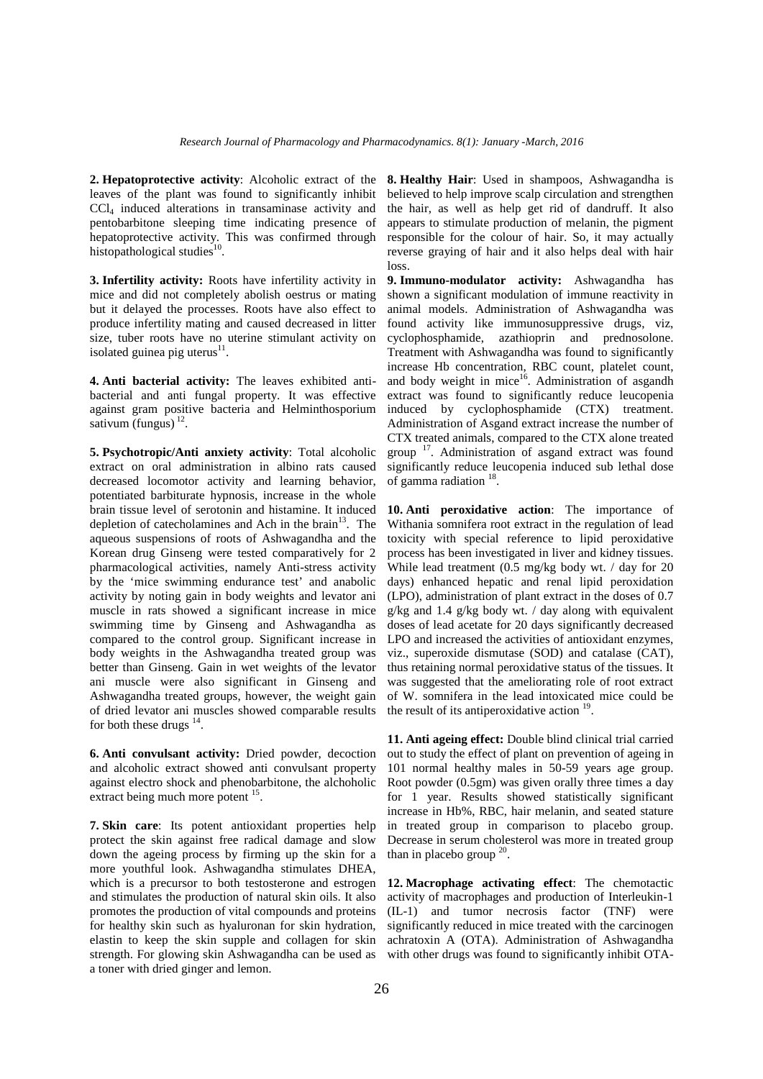**2. Hepatoprotective activity**: Alcoholic extract of the leaves of the plant was found to significantly inhibit CCl<sup>4</sup> induced alterations in transaminase activity and pentobarbitone sleeping time indicating presence of hepatoprotective activity. This was confirmed through histopathological studies<sup>10</sup>.

**3. Infertility activity:** Roots have infertility activity in mice and did not completely abolish oestrus or mating but it delayed the processes. Roots have also effect to produce infertility mating and caused decreased in litter size, tuber roots have no uterine stimulant activity on isolated guinea pig uterus<sup>11</sup>. .

**4. Anti bacterial activity:** The leaves exhibited anti bacterial and anti fungal property. It was effective against gram positive bacteria and Helminthosporium sativum (fungus)  $^{12}$ .

**5. Psychotropic/Anti anxiety activity**: Total alcoholic extract on oral administration in albino rats caused decreased locomotor activity and learning behavior, potentiated barbiturate hypnosis, increase in the whole brain tissue level of serotonin and histamine. It induced depletion of catecholamines and Ach in the brain<sup>13</sup>. The aqueous suspensions of roots of Ashwagandha and the Korean drug Ginseng were tested comparatively for 2 pharmacological activities, namely Anti-stress activity by the 'mice swimming endurance test' and anabolic activity by noting gain in body weights and levator ani muscle in rats showed a significant increase in mice swimming time by Ginseng and Ashwagandha as compared to the control group. Significant increase in body weights in the Ashwagandha treated group was better than Ginseng. Gain in wet weights of the levator ani muscle were also significant in Ginseng and Ashwagandha treated groups, however, the weight gain of dried levator ani muscles showed comparable results for both these drugs  $14$ .

**6. Anti convulsant activity:** Dried powder, decoction and alcoholic extract showed anti convulsant property against electro shock and phenobarbitone, the alchoholic extract being much more potent <sup>15</sup>.

**7. Skin care**: Its potent antioxidant properties help protect the skin against free radical damage and slow down the ageing process by firming up the skin for a more youthful look. Ashwagandha stimulates DHEA, which is a precursor to both testosterone and estrogen and stimulates the production of natural skin oils. It also promotes the production of vital compounds and proteins for healthy skin such as hyaluronan for skin hydration, elastin to keep the skin supple and collagen for skin strength. For glowing skin Ashwagandha can be used as a toner with dried ginger and lemon.

**8. Healthy Hair**: Used in shampoos, Ashwagandha is believed to help improve scalp circulation and strengthen the hair, as well as help get rid of dandruff. It also appears to stimulate production of melanin, the pigment responsible for the colour of hair. So, it may actually reverse graying of hair and it also helps deal with hair loss.

**9. Immuno-modulator activity:** Ashwagandha has shown a significant modulation of immune reactivity in animal models. Administration of Ashwagandha was found activity like immunosuppressive drugs, viz, cyclophosphamide, azathioprin and prednosolone. Treatment with Ashwagandha was found to significantly increase Hb concentration, RBC count, platelet count, and body weight in mice<sup>16</sup>. Administration of asgandh extract was found to significantly reduce leucopenia induced by cyclophosphamide (CTX) treatment. Administration of Asgand extract increase the number of CTX treated animals, compared to the CTX alone treated group <sup>17</sup>. Administration of asgand extract was found significantly reduce leucopenia induced sub lethal dose of gamma radiation  $^{18}$ .

**10. Anti peroxidative action**: The importance of Withania somnifera root extract in the regulation of lead toxicity with special reference to lipid peroxidative process has been investigated in liver and kidney tissues. While lead treatment (0.5 mg/kg body wt. / day for 20 days) enhanced hepatic and renal lipid peroxidation (LPO), administration of plant extract in the doses of 0.7 g/kg and 1.4 g/kg body wt. / day along with equivalent doses of lead acetate for 20 days significantly decreased LPO and increased the activities of antioxidant enzymes, viz., superoxide dismutase (SOD) and catalase (CAT), thus retaining normal peroxidative status of the tissues. It was suggested that the ameliorating role of root extract of W. somnifera in the lead intoxicated mice could be the result of its antiperoxidative action <sup>19</sup>.

**11. Anti ageing effect:** Double blind clinical trial carried out to study the effect of plant on prevention of ageing in 101 normal healthy males in 50-59 years age group. Root powder (0.5gm) was given orally three times a day for 1 year. Results showed statistically significant increase in Hb%, RBC, hair melanin, and seated stature in treated group in comparison to placebo group. Decrease in serum cholesterol was more in treated group than in placebo group  $20$ .

**12. Macrophage activating effect**: The chemotactic activity of macrophages and production of Interleukin-1 (IL-1) and tumor necrosis factor (TNF) were significantly reduced in mice treated with the carcinogen achratoxin A (OTA). Administration of Ashwagandha with other drugs was found to significantly inhibit OTA-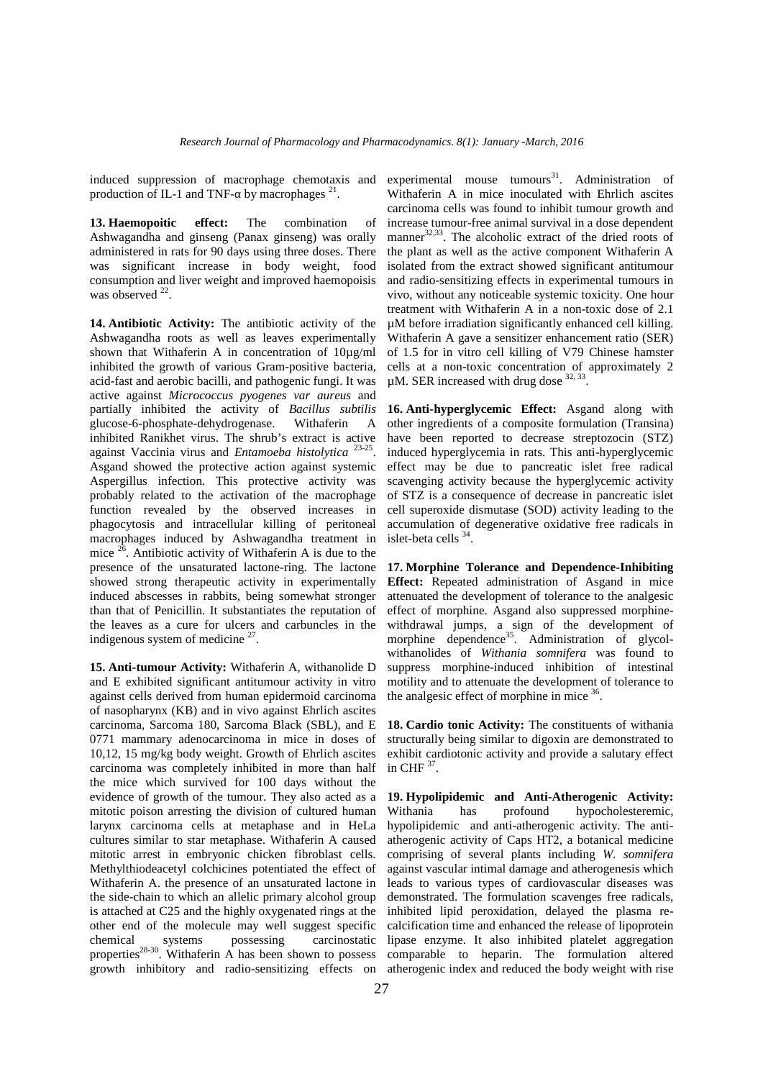induced suppression of macrophage chemotaxis and production of IL-1 and TNF- by macrophages  $21$ .

**13. Haemopoitic effect:** The combination of Ashwagandha and ginseng (Panax ginseng) was orally administered in rats for 90 days using three doses. There was significant increase in body weight, food consumption and liver weight and improved haemopoisis was observed  $22$ .

**14. Antibiotic Activity:** The antibiotic activity of the Ashwagandha roots as well as leaves experimentally shown that Withaferin A in concentration of 10µg/ml inhibited the growth of various Gram-positive bacteria, acid-fast and aerobic bacilli, and pathogenic fungi. It was active against *Micrococcus pyogenes var aureus* and partially inhibited the activity of *Bacillus subtilis* glucose-6-phosphate-dehydrogenase. Withaferin A inhibited Ranikhet virus. The shrub's extract is active against Vaccinia virus and *Entamoeba histolytica* 23-25 Asgand showed the protective action against systemic Aspergillus infection. This protective activity was probably related to the activation of the macrophage function revealed by the observed increases in phagocytosis and intracellular killing of peritoneal macrophages induced by Ashwagandha treatment in mice  $26$ . Antibiotic activity of Withaferin A is due to the presence of the unsaturated lactone-ring. The lactone showed strong therapeutic activity in experimentally induced abscesses in rabbits, being somewhat stronger than that of Penicillin. It substantiates the reputation of the leaves as a cure for ulcers and carbuncles in the indigenous system of medicine  $27$ .

**15. Anti-tumour Activity:** Withaferin A, withanolide D and E exhibited significant antitumour activity in vitro against cells derived from human epidermoid carcinoma of nasopharynx (KB) and in vivo against Ehrlich ascites carcinoma, Sarcoma 180, Sarcoma Black (SBL), and E 0771 mammary adenocarcinoma in mice in doses of 10,12, 15 mg/kg body weight. Growth of Ehrlich ascites carcinoma was completely inhibited in more than half the mice which survived for 100 days without the evidence of growth of the tumour. They also acted as a mitotic poison arresting the division of cultured human Withania larynx carcinoma cells at metaphase and in HeLa cultures similar to star metaphase. Withaferin A caused mitotic arrest in embryonic chicken fibroblast cells. Methylthiodeacetyl colchicines potentiated the effect of Withaferin A. the presence of an unsaturated lactone in the side-chain to which an allelic primary alcohol group is attached at C25 and the highly oxygenated rings at the other end of the molecule may well suggest specific chemical systems possessing carcinostatic properties<sup>28-30</sup>. Withaferin A has been shown to possess comp growth inhibitory and radio-sensitizing effects on

experimental mouse  $t$ umours<sup>31</sup>. Administration of Withaferin A in mice inoculated with Ehrlich ascites carcinoma cells was found to inhibit tumour growth and increase tumour-free animal survival in a dose dependent manner $32,33$ . The alcoholic extract of the dried roots of the plant as well as the active component Withaferin A isolated from the extract showed significant antitumour and radio-sensitizing effects in experimental tumours in vivo, without any noticeable systemic toxicity. One hour treatment with Withaferin A in a non-toxic dose of 2.1 µM before irradiation significantly enhanced cell killing. Withaferin A gave a sensitizer enhancement ratio (SER) of 1.5 for in vitro cell killing of V79 Chinese hamster cells at a non-toxic concentration of approximately 2  $\mu$ M. SER increased with drug dose  $^{32,33}$ .

. induced hyperglycemia in rats. This anti-hyperglycemic **16. Anti-hyperglycemic Effect:** Asgand along with other ingredients of a composite formulation (Transina) have been reported to decrease streptozocin (STZ) effect may be due to pancreatic islet free radical scavenging activity because the hyperglycemic activity of STZ is a consequence of decrease in pancreatic islet cell superoxide dismutase (SOD) activity leading to the accumulation of degenerative oxidative free radicals in islet-beta cells  $34$ .

**17. Morphine Tolerance and Dependence-Inhibiting Effect:** Repeated administration of Asgand in mice attenuated the development of tolerance to the analgesic effect of morphine. Asgand also suppressed morphine withdrawal jumps, a sign of the development of morphine dependence<sup>35</sup>. Administration of glycolwithanolides of *Withania somnifera* was found to suppress morphine-induced inhibition of intestinal motility and to attenuate the development of tolerance to the analgesic effect of morphine in mice <sup>36</sup>.

**18. Cardio tonic Activity:** The constituents of withania structurally being similar to digoxin are demonstrated to exhibit cardiotonic activity and provide a salutary effect in CHF  $^{37}$ .

**19. Hypolipidemic and Anti-Atherogenic Activity:** has profound hypocholesteremic, hypolipidemic and anti-atherogenic activity. The anti atherogenic activity of Caps HT2, a botanical medicine comprising of several plants including *W. somnifera* against vascular intimal damage and atherogenesis which leads to various types of cardiovascular diseases was demonstrated. The formulation scavenges free radicals, inhibited lipid peroxidation, delayed the plasma re calcification time and enhanced the release of lipoprotein lipase enzyme. It also inhibited platelet aggregation comparable to heparin. The formulation altered atherogenic index and reduced the body weight with rise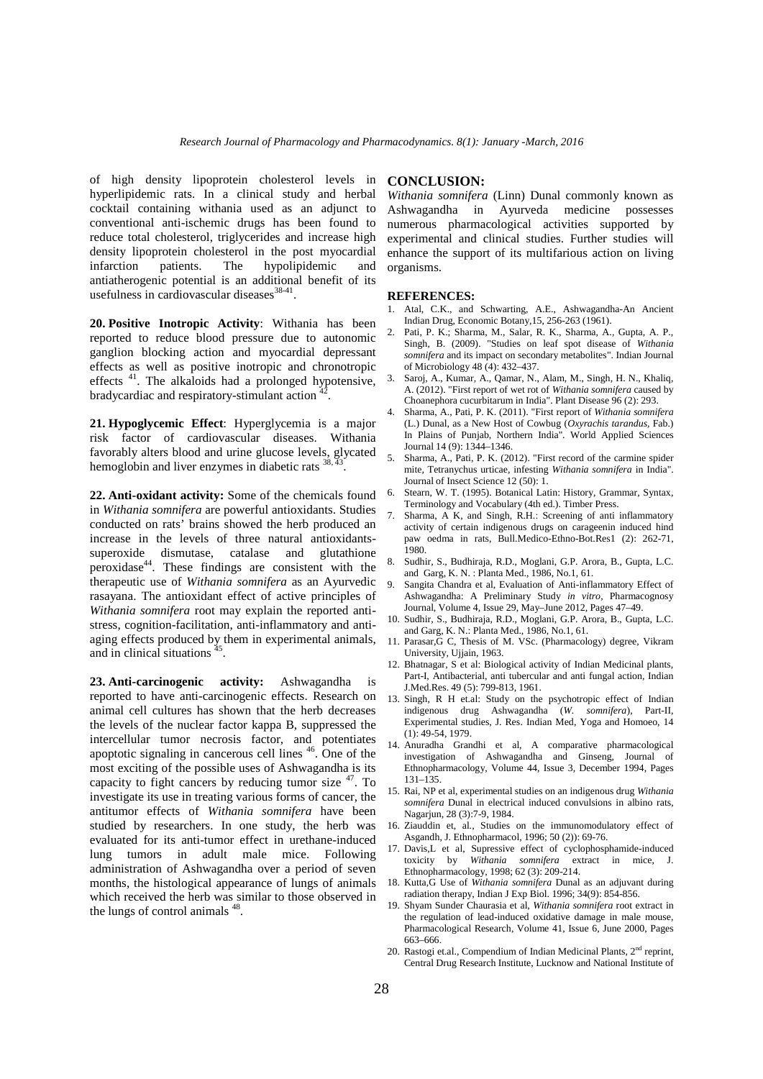of high density lipoprotein cholesterol levels in hyperlipidemic rats. In a clinical study and herbal cocktail containing withania used as an adjunct to conventional anti-ischemic drugs has been found to reduce total cholesterol, triglycerides and increase high density lipoprotein cholesterol in the post myocardial infarction patients. The hypolipidemic and antiatherogenic potential is an additional benefit of its usefulness in cardiovascular diseases $38-41$ .

**20. Positive Inotropic Activity**: Withania has been reported to reduce blood pressure due to autonomic ganglion blocking action and myocardial depressant effects as well as positive inotropic and chronotropic  $\frac{1}{2}$  and  $\frac{1}{2}$  and  $\frac{1}{2}$  and  $\frac{1}{2}$  are proposed by potensiye. effects<sup>41</sup>. The alkaloids had a prolonged hypotensive, bradycardiac and respiratory-stimulant action .

**21. Hypoglycemic Effect**: Hyperglycemia is a major risk factor of cardiovascular diseases. Withania favorably alters blood and urine glucose levels, glycated  $\frac{30}{5}$ hemoglobin and liver enzymes in diabetic rats <sup>38, 43</sup>.

**22. Anti-oxidant activity:** Some of the chemicals found in *Withania somnifera* are powerful antioxidants. Studies conducted on rats' brains showed the herb produced an increase in the levels of three natural antioxidants superoxide dismutase, catalase and glutathione  $\frac{198}{9}$ peroxidase<sup>44</sup>. These findings are consistent with the  $8.500$ therapeutic use of *Withania somnifera* as an Ayurvedic rasayana. The antioxidant effect of active principles of *Withania somnifera* root may explain the reported anti stress, cognition-facilitation, anti-inflammatory and anti aging effects produced by them in experimental animals, and in clinical situations  $45$ .

**23. Anti-carcinogenic activity:** Ashwagandha is reported to have anti-carcinogenic effects. Research on animal cell cultures has shown that the herb decreases the levels of the nuclear factor kappa B, suppressed the intercellular tumor necrosis factor, and potentiates  $\frac{1}{14}$ apoptotic signaling in cancerous cell lines  $46$ . One of the  $\frac{14}{100}$ most exciting of the possible uses of Ashwagandha is its capacity to fight cancers by reducing tumor size <sup>47</sup>. To investigate its use in treating various forms of cancer, the antitumor effects of *Withania somnifera* have been studied by researchers. In one study, the herb was evaluated for its anti-tumor effect in urethane-induced lung tumors in adult male mice. Following administration of Ashwagandha over a period of seven months, the histological appearance of lungs of animals which received the herb was similar to those observed in the lungs of control animals <sup>48</sup>.

# **CONCLUSION:**

*Withania somnifera* (Linn) Dunal commonly known as Ashwagandha in Ayurveda medicine possesses numerous pharmacological activities supported by experimental and clinical studies. Further studies will enhance the support of its multifarious action on living organisms.

#### **REFERENCES:**

- 1. Atal, C.K., and Schwarting, A.E., Ashwagandha-An Ancient Indian Drug, Economic Botany,15, 256-263 (1961).
- 2. Pati, P. K.; Sharma, M., Salar, R. K., Sharma, A., Gupta, A. P., Singh, B. (2009). "Studies on leaf spot disease of *Withania somnifera* and its impact on secondary metabolites". Indian Journal of Microbiology 48 (4): 432–437.
- 3. Saroj, A., Kumar, A., Qamar, N., Alam, M., Singh, H. N., Khaliq, A. (2012). "First report of wet rot of *Withania somnifera* caused by Choanephora cucurbitarum in India". Plant Disease 96 (2): 293.
- 4. Sharma, A., Pati, P. K. (2011). "First report of *Withania somnifera* (L.) Dunal, as a New Host of Cowbug (*Oxyrachis tarandus*, Fab.) In Plains of Punjab, Northern India". World Applied Sciences Journal 14 (9): 1344–1346.
- 5. Sharma, A., Pati, P. K. (2012). "First record of the carmine spider mite, Tetranychus urticae, infesting *Withania somnifera* in India". Journal of Insect Science 12 (50): 1.
- 6. Stearn, W. T. (1995). Botanical Latin: History, Grammar, Syntax, Terminology and Vocabulary (4th ed.). Timber Press.
- Sharma, A K, and Singh, R.H.: Screening of anti inflammatory activity of certain indigenous drugs on carageenin induced hind paw oedma in rats, Bull.Medico-Ethno-Bot.Res1 (2): 262-71, 1980.
- 8. Sudhir, S., Budhiraja, R.D., Moglani, G.P. Arora, B., Gupta, L.C. and Garg, K. N. : Planta Med., 1986, No.1, 61.
- Sangita Chandra et al, Evaluation of Anti-inflammatory Effect of Ashwagandha: A Preliminary Study *in vitro,* Pharmacognosy Journal, Volume 4, Issue 29, May–June 2012, Pages 47–49.
- 10. Sudhir, S., Budhiraja, R.D., Moglani, G.P. Arora, B., Gupta, L.C. and Garg, K. N.: Planta Med., 1986, No.1, 61.
- 11. Parasar,G C, Thesis of M. VSc. (Pharmacology) degree, Vikram University, Ujjain, 1963.
- 12. Bhatnagar, S et al: Biological activity of Indian Medicinal plants, Part-I, Antibacterial, anti tubercular and anti fungal action, Indian J.Med.Res. 49 (5): 799-813, 1961.
- 13. Singh, R H et.al: Study on the psychotropic effect of Indian indigenous drug Ashwagandha (*W. somnifera*), Part-II, Experimental studies, J. Res. Indian Med, Yoga and Homoeo, 14  $(1): 49-54, 1979.$
- 14. Anuradha Grandhi et al, A comparative pharmacological investigation of Ashwagandha and Ginseng, Journal of Ethnopharmacology, Volume 44, Issue 3, December 1994, Pages 131–135.
- 15. Rai, NP et al, experimental studies on an indigenous drug *Withania somnifera* Dunal in electrical induced convulsions in albino rats, Nagarjun, 28 (3):7-9, 1984.
- 16. Ziauddin et, al., Studies on the immunomodulatory effect of Asgandh, J. Ethnopharmacol, 1996; 50 (2)): 69-76.
- 17. Davis,L et al, Supressive effect of cyclophosphamide-induced toxicity by *Withania somnifera* extract in mice, J. Ethnopharmacology, 1998; 62 (3): 209-214.
- 18. Kutta,G Use of *Withania somnifera* Dunal as an adjuvant during radiation therapy, Indian J Exp Biol. 1996; 34(9): 854-856.
- 19. Shyam Sunder Chaurasia et al, *Withania somnifera* root extract in the regulation of lead-induced oxidative damage in male mouse, Pharmacological Research, Volume 41, Issue 6, June 2000, Pages 663–666.
- 20. Rastogi et.al., Compendium of Indian Medicinal Plants, 2<sup>nd</sup> reprint, Central Drug Research Institute, Lucknow and National Institute of